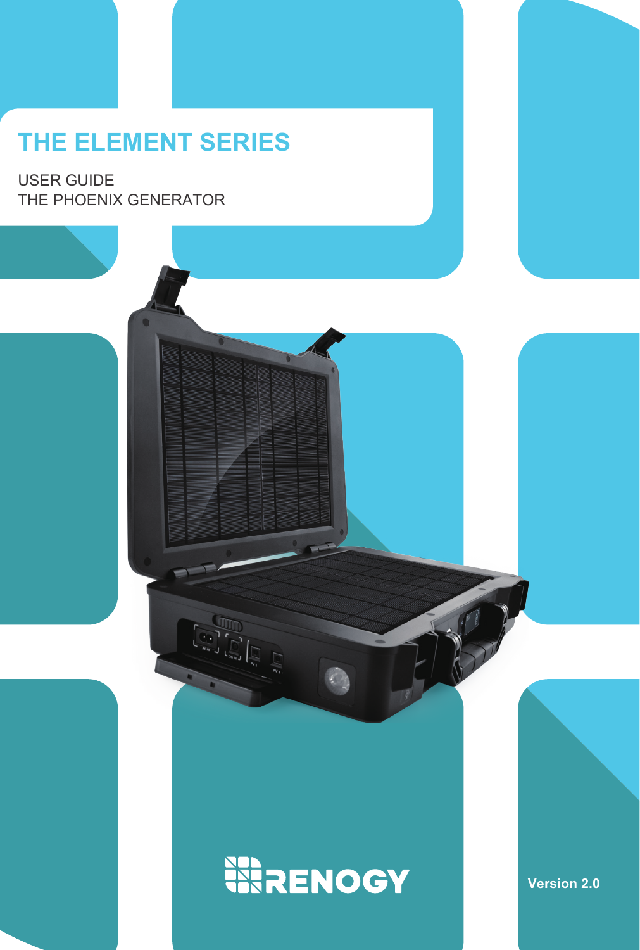## **THE ELEMENT SERIES**

THE PHOENIX GENERATOR USER GUIDE

# **WRENOGY**

**Version 2.0**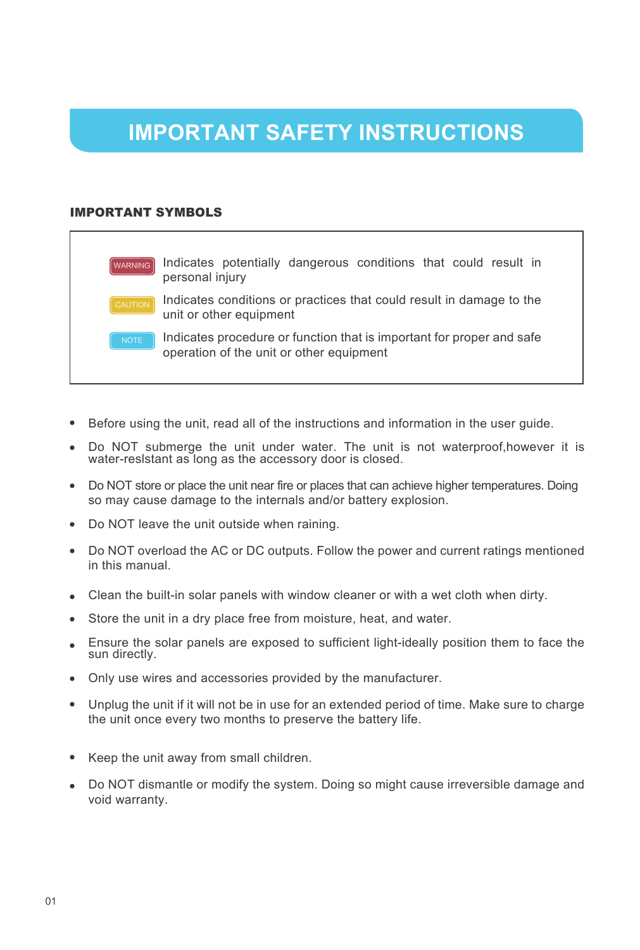## **IMPORTANT SAFETY INSTRUCTIONS**

### IMPORTANT SYMBOLS

WARNING Indicates potentially dangerous conditions that could result in personal injury Indicates conditions or practices that could result in damage to the unit or other equipment Indicates procedure or function that is important for proper and safe operation of the unit or other equipment

- Before using the unit, read all of the instructions and information in the user guide.
- Do NOT submerge the unit under water. The unit is not waterproof, however it is water-reslstant as long as the accessory door is closed.
- Do NOT store or place the unit near fire or places that can achieve higher temperatures. Doing so may cause damage to the internals and/or battery explosion.
- Do NOT leave the unit outside when raining.
- Do NOT overload the AC or DC outputs. Follow the power and current ratings mentioned in this manual.
- Clean the built-in solar panels with window cleaner or with a wet cloth when dirty.
- Store the unit in a dry place free from moisture, heat, and water.
- Ensure the solar panels are exposed to sufficient light-ideally position them to face the sun directly.
- Only use wires and accessories provided by the manufacturer.
- Unplug the unit if it will not be in use for an extended period of time. Make sure to charge the unit once every two months to preserve the battery life.
- Keep the unit away from small children.
- Do NOT dismantle or modify the system. Doing so might cause irreversible damage and void warranty.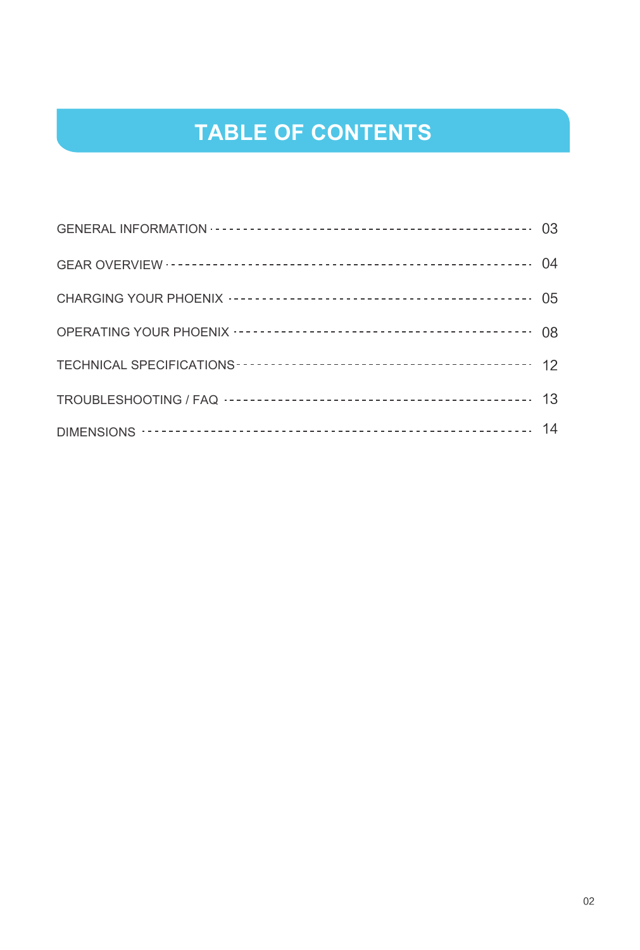## **TABLE OF CONTENTS**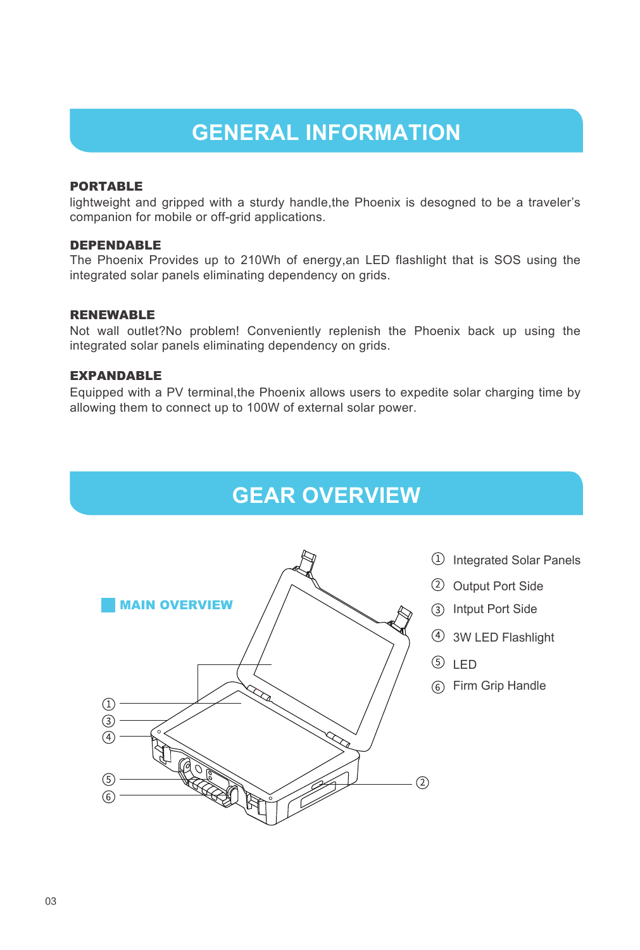### **GENERAL INFORMATION**

### PORTABLE

lightweight and gripped with a sturdy handle,the Phoenix is desogned to be a traveler's companion for mobile or off-grid applications.

### DEPENDABLE

The Phoenix Provides up to 210Wh of energy,an LED flashlight that is SOS using the integrated solar panels eliminating dependency on grids.

### RENEWABLE

Not wall outlet?No problem! Conveniently replenish the Phoenix back up using the integrated solar panels eliminating dependency on grids.

### EXPANDABLE

Equipped with a PV terminal,the Phoenix allows users to expedite solar charging time by allowing them to connect up to 100W of external solar power.

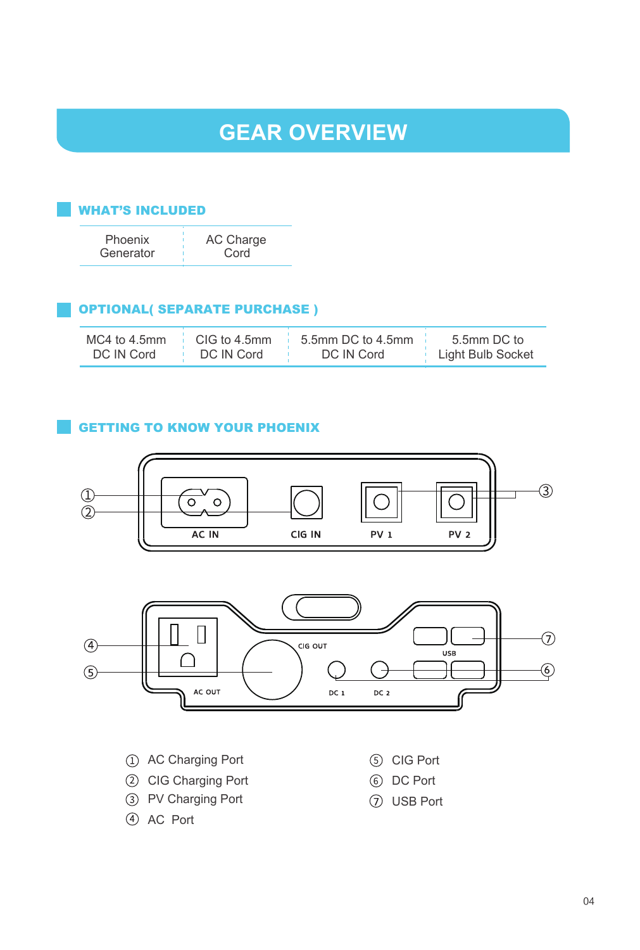### **GEAR OVERVIEW**

### WHAT'S INCLUDED

| Phoenix   | AC Charge |
|-----------|-----------|
| Generator | Cord      |

### OPTIONAL( SEPARATE PURCHASE )

| MC4 to 4.5mm | CIG to 4.5mm | 5.5mm DC to 4.5mm | 5.5mm DC to       |
|--------------|--------------|-------------------|-------------------|
| DC IN Cord   | DC IN Cord   | DC IN Cord        | Light Bulb Socket |

### **GETTING TO KNOW YOUR PHOENIX**

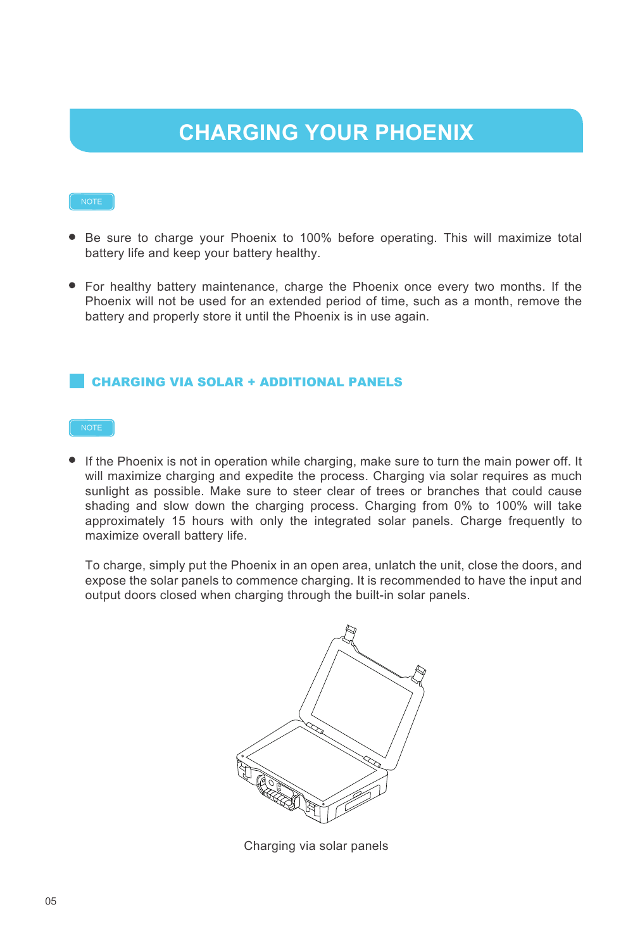## **CHARGING YOUR PHOENIX**

- Be sure to charge your Phoenix to 100% before operating. This will maximize total battery life and keep your battery healthy.
- For healthy battery maintenance, charge the Phoenix once every two months. If the Phoenix will not be used for an extended period of time, such as a month, remove the battery and properly store it until the Phoenix is in use again.

### CHARGING VIA SOLAR + ADDITIONAL PANELS

If the Phoenix is not in operation while charging, make sure to turn the main power off. It will maximize charging and expedite the process. Charging via solar requires as much sunlight as possible. Make sure to steer clear of trees or branches that could cause shading and slow down the charging process. Charging from 0% to 100% will take approximately 15 hours with only the integrated solar panels. Charge frequently to maximize overall battery life.

To charge, simply put the Phoenix in an open area, unlatch the unit, close the doors, and expose the solar panels to commence charging. It is recommended to have the input and output doors closed when charging through the built-in solar panels.



Charging via solar panels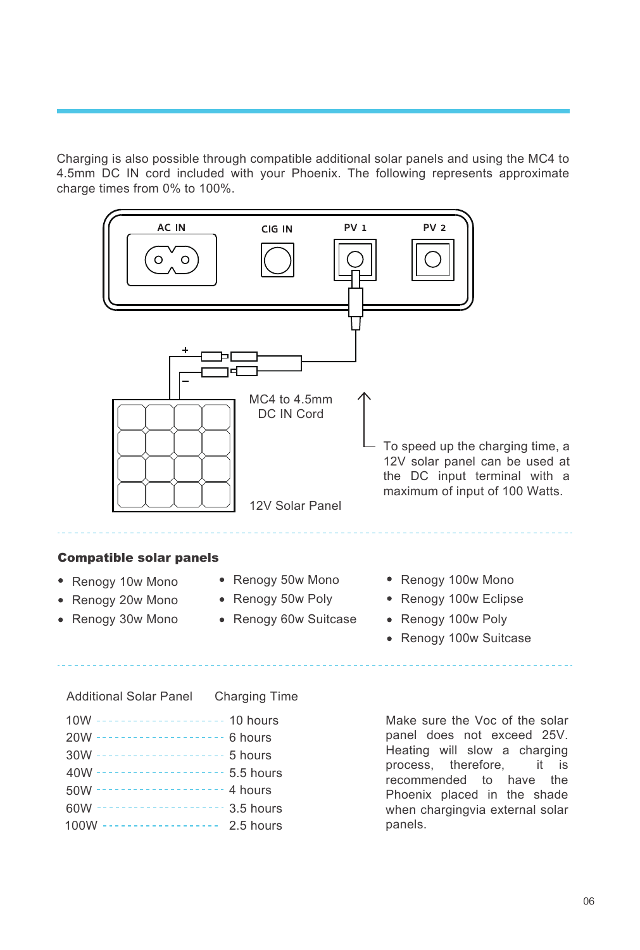Charging is also possible through compatible additional solar panels and using the MC4 to 4.5mm DC IN cord included with your Phoenix. The following represents approximate charge times from 0% to 100%.



panels.

60W -------------------- 3.5 hours 100W ------------------ 2.5 hours

06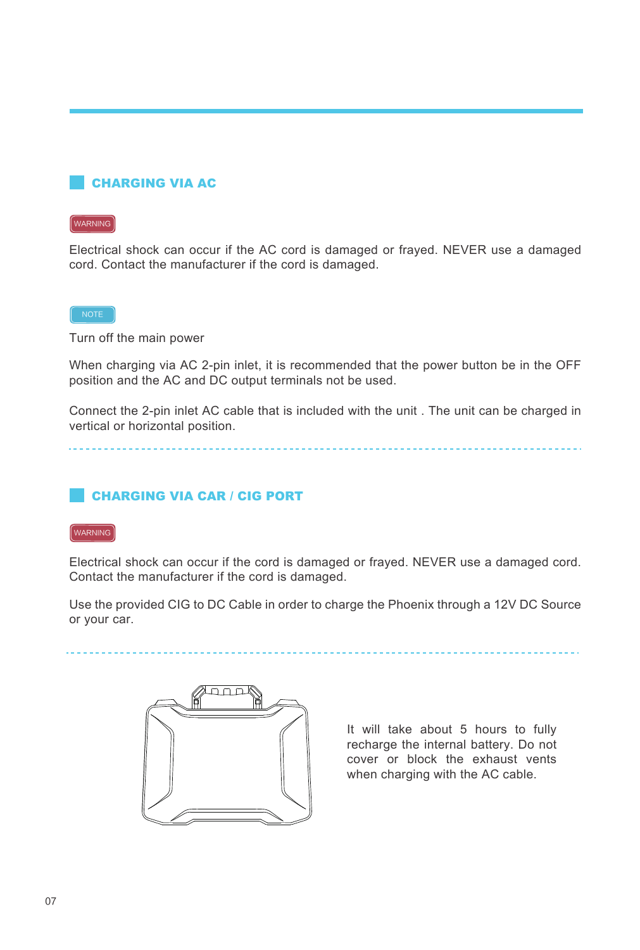### CHARGING VIA AC

### WARNING

Electrical shock can occur if the AC cord is damaged or frayed. NEVER use a damaged cord. Contact the manufacturer if the cord is damaged.

### $NOTE$

Turn off the main power

When charging via AC 2-pin inlet, it is recommended that the power button be in the OFF position and the AC and DC output terminals not be used.

Connect the 2-pin inlet AC cable that is included with the unit . The unit can be charged in vertical or horizontal position.

### CHARGING VIA CAR / CIG PORT

### WARNING

Electrical shock can occur if the cord is damaged or frayed. NEVER use a damaged cord. Contact the manufacturer if the cord is damaged.

Use the provided CIG to DC Cable in order to charge the Phoenix through a 12V DC Source or your car.

It will take about 5 hours to fully recharge the internal battery. Do not cover or block the exhaust vents when charging with the AC cable.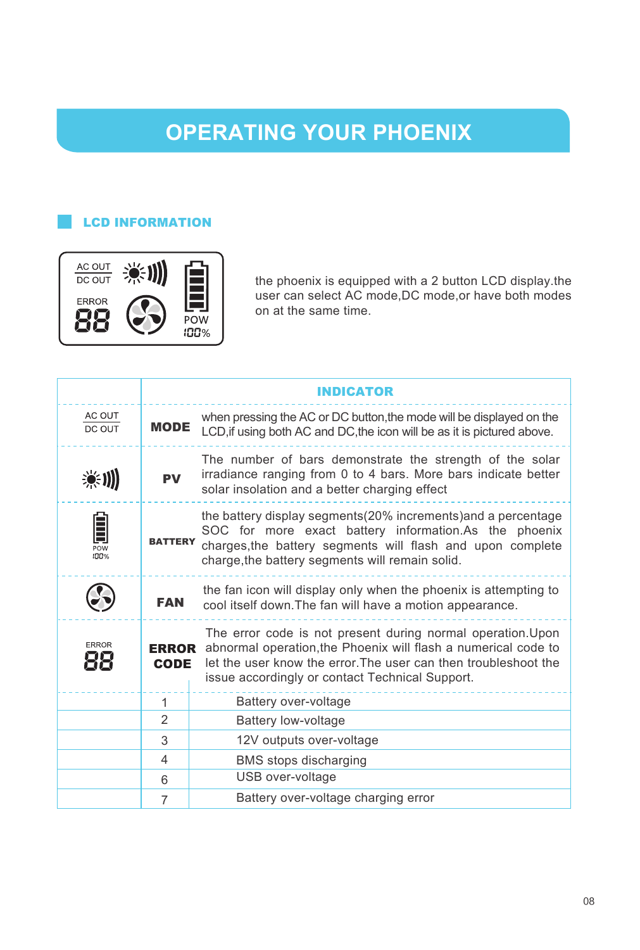### **OPERATING YOUR PHOENIX**

### LCD INFORMATION



the phoenix is equipped with a 2 button LCD display.the user can select AC mode,DC mode,or have both modes on at the same time.

|                                       |                             | <b>INDICATOR</b>                                                                                                                                                                                                                                    |
|---------------------------------------|-----------------------------|-----------------------------------------------------------------------------------------------------------------------------------------------------------------------------------------------------------------------------------------------------|
| AC OUT<br>DC OUT                      | <b>MODE</b>                 | when pressing the AC or DC button, the mode will be displayed on the<br>LCD, if using both AC and DC, the icon will be as it is pictured above.                                                                                                     |
| 美训                                    | <b>DV</b>                   | The number of bars demonstrate the strength of the solar<br>irradiance ranging from 0 to 4 bars. More bars indicate better<br>solar insolation and a better charging effect                                                                         |
| Ê<br>$\overline{P}$ ow<br><b>IOO%</b> | <b>BATTERY</b>              | the battery display segments (20% increments) and a percentage<br>SOC for more exact battery information.As the phoenix<br>charges, the battery segments will flash and upon complete<br>charge, the battery segments will remain solid.            |
|                                       | <b>FAN</b>                  | the fan icon will display only when the phoenix is attempting to<br>cool itself down. The fan will have a motion appearance.                                                                                                                        |
| <b>ERROR</b>                          | <b>ERROR</b><br><b>CODE</b> | The error code is not present during normal operation. Upon<br>abnormal operation, the Phoenix will flash a numerical code to<br>let the user know the error. The user can then troubleshoot the<br>issue accordingly or contact Technical Support. |
|                                       | $\mathbf{1}$                | Battery over-voltage                                                                                                                                                                                                                                |
|                                       | $\overline{2}$              | Battery low-voltage                                                                                                                                                                                                                                 |
|                                       | 3                           | 12V outputs over-voltage                                                                                                                                                                                                                            |
|                                       | 4                           | <b>BMS</b> stops discharging                                                                                                                                                                                                                        |
|                                       | 6                           | USB over-voltage                                                                                                                                                                                                                                    |
|                                       | 7                           | Battery over-voltage charging error                                                                                                                                                                                                                 |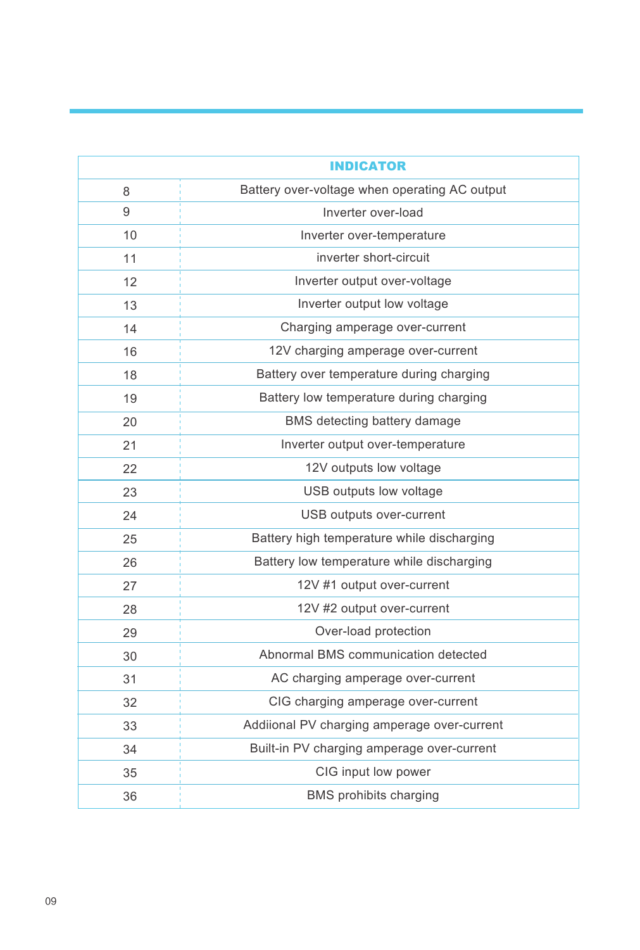|    | <b>INDICATOR</b>                              |
|----|-----------------------------------------------|
| 8  | Battery over-voltage when operating AC output |
| 9  | Inverter over-load                            |
| 10 | Inverter over-temperature                     |
| 11 | inverter short-circuit                        |
| 12 | Inverter output over-voltage                  |
| 13 | Inverter output low voltage                   |
| 14 | Charging amperage over-current                |
| 16 | 12V charging amperage over-current            |
| 18 | Battery over temperature during charging      |
| 19 | Battery low temperature during charging       |
| 20 | BMS detecting battery damage                  |
| 21 | Inverter output over-temperature              |
| 22 | 12V outputs low voltage                       |
| 23 | USB outputs low voltage                       |
| 24 | USB outputs over-current                      |
| 25 | Battery high temperature while discharging    |
| 26 | Battery low temperature while discharging     |
| 27 | 12V #1 output over-current                    |
| 28 | 12V #2 output over-current                    |
| 29 | Over-load protection                          |
| 30 | Abnormal BMS communication detected           |
| 31 | AC charging amperage over-current             |
| 32 | CIG charging amperage over-current            |
| 33 | Addiional PV charging amperage over-current   |
| 34 | Built-in PV charging amperage over-current    |
| 35 | CIG input low power                           |
| 36 | <b>BMS</b> prohibits charging                 |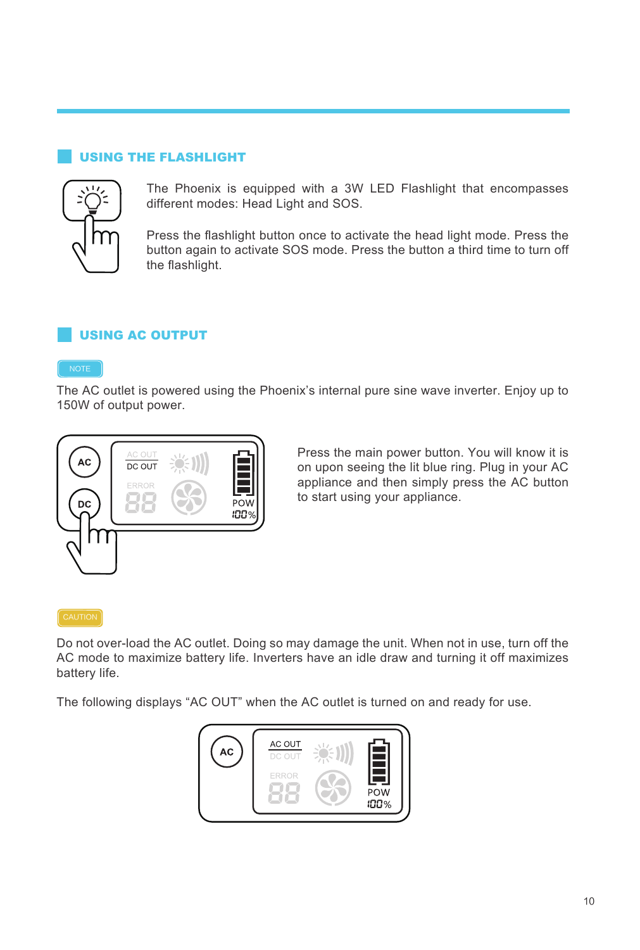### USING THE FLASHLIGHT



The Phoenix is equipped with a 3W LED Flashlight that encompasses different modes: Head Light and SOS.

Press the flashlight button once to activate the head light mode. Press the button again to activate SOS mode. Press the button a third time to turn off the flashlight.

### USING AC OUTPUT

The AC outlet is powered using the Phoenix's internal pure sine wave inverter. Enjoy up to 150W of output power.



Press the main power button. You will know it is on upon seeing the lit blue ring. Plug in your AC appliance and then simply press the AC button to start using your appliance.

#### CAUTION

Do not over-load the AC outlet. Doing so may damage the unit. When not in use, turn off the AC mode to maximize battery life. Inverters have an idle draw and turning it off maximizes battery life.

The following displays "AC OUT" when the AC outlet is turned on and ready for use.

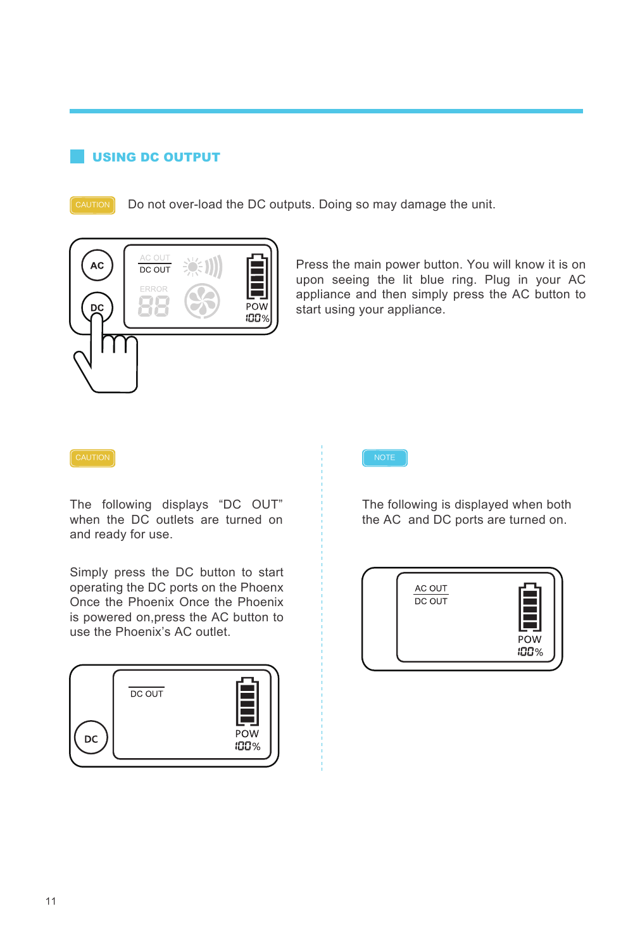### USING DC OUTPUT

Do not over-load the DC outputs. Doing so may damage the unit.



Press the main power button. You will know it is on upon seeing the lit blue ring. Plug in your AC appliance and then simply press the AC button to start using your appliance.

The following displays "DC OUT" when the DC outlets are turned on and ready for use.

Simply press the DC button to start operating the DC ports on the Phoenx Once the Phoenix Once the Phoenix is powered on,press the AC button to use the Phoenix's AC outlet.



The following is displayed when both the AC and DC ports are turned on.

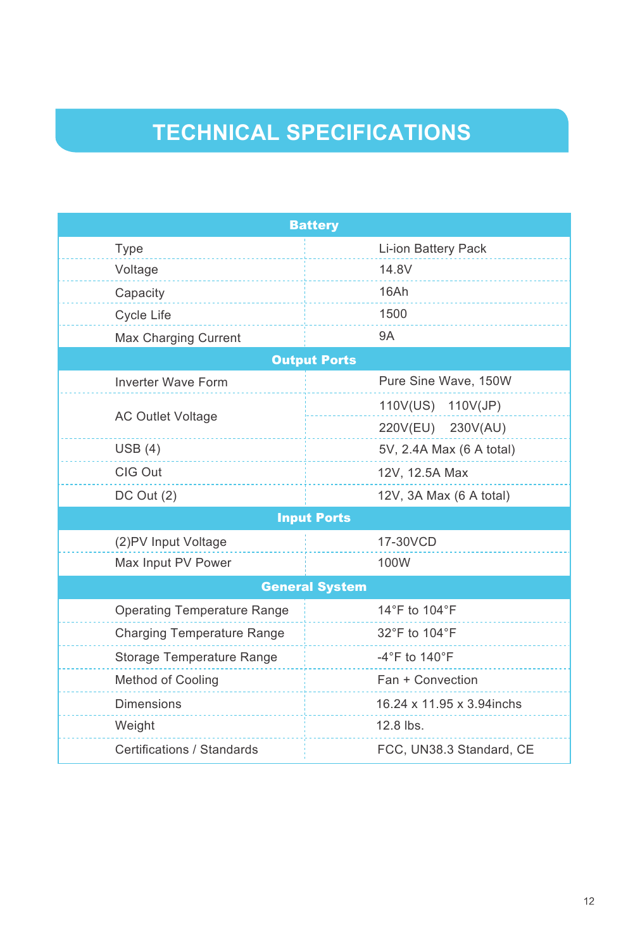## **TECHNICAL SPECIFICATIONS**

| <b>Battery</b>                     |                                    |  |  |  |  |  |
|------------------------------------|------------------------------------|--|--|--|--|--|
| Type                               | Li-ion Battery Pack                |  |  |  |  |  |
| Voltage                            | 14.8V                              |  |  |  |  |  |
| Capacity                           | 16Ah                               |  |  |  |  |  |
| Cycle Life                         | 1500                               |  |  |  |  |  |
| Max Charging Current               | <b>9A</b>                          |  |  |  |  |  |
| <b>Output Ports</b>                |                                    |  |  |  |  |  |
| <b>Inverter Wave Form</b>          | Pure Sine Wave, 150W               |  |  |  |  |  |
|                                    | 110V(US) 110V(JP)                  |  |  |  |  |  |
| <b>AC Outlet Voltage</b>           | 220V(EU) 230V(AU)                  |  |  |  |  |  |
| USB(4)                             | 5V, 2.4A Max (6 A total)           |  |  |  |  |  |
| CIG Out                            | 12V, 12.5A Max                     |  |  |  |  |  |
| $DC$ Out $(2)$                     | 12V, 3A Max (6 A total)            |  |  |  |  |  |
|                                    | <b>Input Ports</b>                 |  |  |  |  |  |
| (2) PV Input Voltage               | 17-30VCD                           |  |  |  |  |  |
| Max Input PV Power                 | 100W                               |  |  |  |  |  |
|                                    | <b>General System</b>              |  |  |  |  |  |
| <b>Operating Temperature Range</b> | 14°F to 104°F                      |  |  |  |  |  |
| <b>Charging Temperature Range</b>  | 32°F to 104°F                      |  |  |  |  |  |
| Storage Temperature Range          | $-4^{\circ}$ F to 140 $^{\circ}$ F |  |  |  |  |  |
| Method of Cooling                  | Fan + Convection                   |  |  |  |  |  |
| <b>Dimensions</b>                  | 16.24 x 11.95 x 3.94 inchs         |  |  |  |  |  |
| Weight                             | 12.8 lbs.                          |  |  |  |  |  |
| Certifications / Standards         | FCC, UN38.3 Standard, CE           |  |  |  |  |  |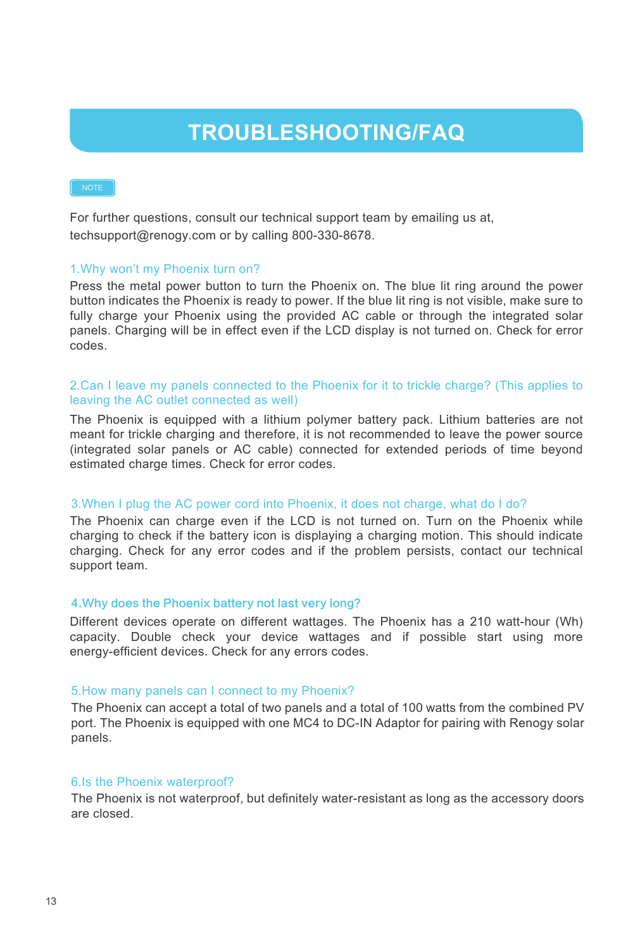### **TROUBLESHOOTING/FAQ**

NOTE

For further questions, consult our technical support team by emailing us at, techsupport@renogy.com or by calling 800-330-8678.

### 1.Why won't my Phoenix turn on?

Press the metal power button to turn the Phoenix on. The blue lit ring around the power button indicates the Phoenix is ready to power. If the blue lit ring is not visible, make sure to fully charge your Phoenix using the provided AC cable or through the integrated solar panels. Charging will be in effect even if the LCD display is not turned on. Check for error codes.

### 2.Can I leave my panels connected to the Phoenix for it to trickle charge? (This applies to leaving the AC outlet connected as well)

The Phoenix is equipped with a lithium polymer battery pack. Lithium batteries are not meant for trickle charging and therefore, it is not recommended to leave the power source (integrated solar panels or AC cable) connected for extended periods of time beyond estimated charge times. Check for error codes.

### 3.When I plug the AC power cord into Phoenix, it does not charge, what do I do?

The Phoenix can charge even if the LCD is not turned on. Turn on the Phoenix while charging to check if the battery icon is displaying a charging motion. This should indicate charging. Check for any error codes and if the problem persists, contact our technical support team.

#### 4.Why does the Phoenix battery not last very long?

Different devices operate on different wattages. The Phoenix has a 210 watt-hour (Wh) capacity. Double check your device wattages and if possible start using more energy-efficient devices. Check for any errors codes.

#### 5.How many panels can I connect to my Phoenix?

The Phoenix can accept a total of two panels and a total of 100 watts from the combined PV port. The Phoenix is equipped with one MC4 to DC-IN Adaptor for pairing with Renogy solar panels.

### 6.Is the Phoenix waterproof?

The Phoenix is not waterproof, but definitely water-resistant as long as the accessory doors are closed.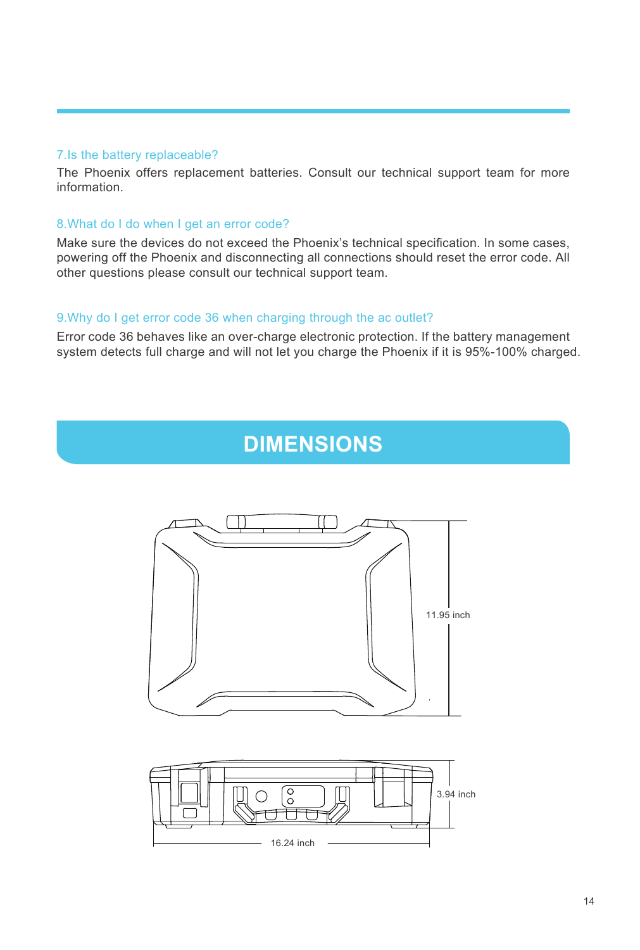### 7.Is the battery replaceable?

The Phoenix offers replacement batteries. Consult our technical support team for more information.

### 8.What do I do when I get an error code?

Make sure the devices do not exceed the Phoenix's technical specification. In some cases, powering off the Phoenix and disconnecting all connections should reset the error code. All other questions please consult our technical support team.

### 9.Why do I get error code 36 when charging through the ac outlet?

Error code 36 behaves like an over-charge electronic protection. If the battery management system detects full charge and will not let you charge the Phoenix if it is 95%-100% charged.

### **DIMENSIONS**